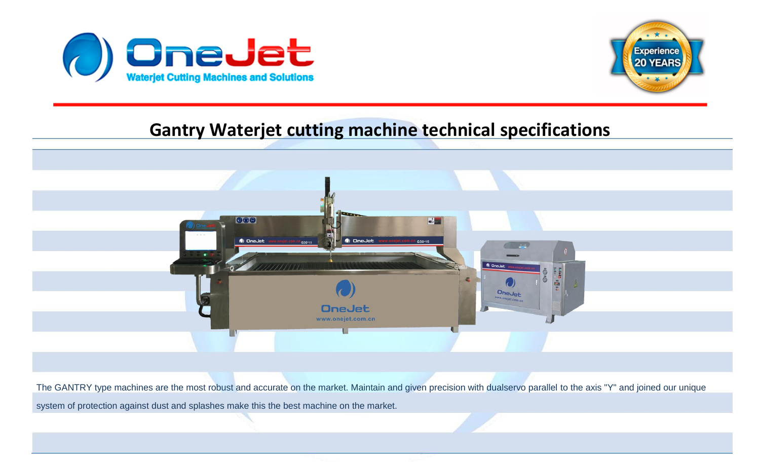



## **Gantry Waterjet cutting machine technical specifications**

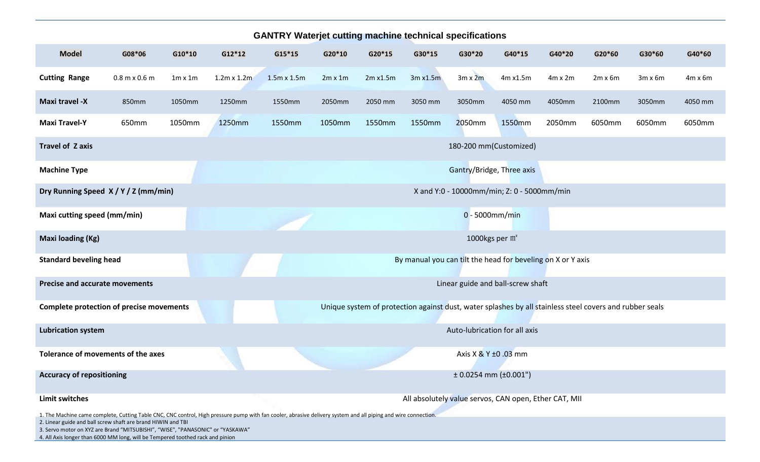| <b>GANTRY Waterjet cutting machine technical specifications</b>                                                                                                                                                                                                                                               |                 |                |                                            |                        |                |          |                                                                                                         |                              |                                   |                |                |                |                |
|---------------------------------------------------------------------------------------------------------------------------------------------------------------------------------------------------------------------------------------------------------------------------------------------------------------|-----------------|----------------|--------------------------------------------|------------------------|----------------|----------|---------------------------------------------------------------------------------------------------------|------------------------------|-----------------------------------|----------------|----------------|----------------|----------------|
| <b>Model</b>                                                                                                                                                                                                                                                                                                  | G08*06          | G10*10         | $G12*12$                                   | $G15*15$               | G20*10         | G20*15   | G30*15                                                                                                  | G30*20                       | G40*15                            | G40*20         | G20*60         | G30*60         | G40*60         |
| <b>Cutting Range</b>                                                                                                                                                                                                                                                                                          | $0.8$ m x 0.6 m | $1m \times 1m$ | $1.2m \times 1.2m$                         | $1.5m \times 1.5m$     | $2m \times 1m$ | 2m x1.5m | 3m x1.5m                                                                                                | $3m \times 2m$               | 4m x1.5m                          | $4m \times 2m$ | $2m \times 6m$ | $3m \times 6m$ | $4m \times 6m$ |
| <b>Maxi travel -X</b>                                                                                                                                                                                                                                                                                         | 850mm           | 1050mm         | 1250mm                                     | 1550mm                 | 2050mm         | 2050 mm  | 3050 mm                                                                                                 | 3050mm                       | 4050 mm                           | 4050mm         | 2100mm         | 3050mm         | 4050 mm        |
| <b>Maxi Travel-Y</b>                                                                                                                                                                                                                                                                                          | 650mm           | 1050mm         | 1250mm                                     | 1550mm                 | 1050mm         | 1550mm   | 1550mm                                                                                                  | 2050mm                       | 1550mm                            | 2050mm         | 6050mm         | 6050mm         | 6050mm         |
| <b>Travel of Zaxis</b>                                                                                                                                                                                                                                                                                        |                 |                |                                            | 180-200 mm(Customized) |                |          |                                                                                                         |                              |                                   |                |                |                |                |
| <b>Machine Type</b>                                                                                                                                                                                                                                                                                           |                 |                |                                            |                        |                |          |                                                                                                         | Gantry/Bridge, Three axis    |                                   |                |                |                |                |
| Dry Running Speed X / Y / Z (mm/min)                                                                                                                                                                                                                                                                          |                 |                | X and Y:0 - 10000mm/min; Z: 0 - 5000mm/min |                        |                |          |                                                                                                         |                              |                                   |                |                |                |                |
| Maxi cutting speed (mm/min)                                                                                                                                                                                                                                                                                   |                 |                |                                            |                        |                |          |                                                                                                         | $0 - 5000$ mm/min            |                                   |                |                |                |                |
| <b>Maxi loading (Kg)</b>                                                                                                                                                                                                                                                                                      |                 |                |                                            |                        |                |          |                                                                                                         | 1000kgs per $m2$             |                                   |                |                |                |                |
| <b>Standard beveling head</b>                                                                                                                                                                                                                                                                                 |                 |                |                                            |                        |                |          | By manual you can tilt the head for beveling on X or Y axis                                             |                              |                                   |                |                |                |                |
| <b>Precise and accurate movements</b>                                                                                                                                                                                                                                                                         |                 |                |                                            |                        |                |          |                                                                                                         |                              | Linear guide and ball-screw shaft |                |                |                |                |
| <b>Complete protection of precise movements</b>                                                                                                                                                                                                                                                               |                 |                |                                            |                        |                |          | Unique system of protection against dust, water splashes by all stainless steel covers and rubber seals |                              |                                   |                |                |                |                |
| <b>Lubrication system</b>                                                                                                                                                                                                                                                                                     |                 |                |                                            |                        |                |          |                                                                                                         |                              | Auto-lubrication for all axis     |                |                |                |                |
| Tolerance of movements of the axes                                                                                                                                                                                                                                                                            |                 |                |                                            |                        |                |          |                                                                                                         | Axis X & Y ±0 .03 mm         |                                   |                |                |                |                |
| <b>Accuracy of repositioning</b>                                                                                                                                                                                                                                                                              |                 |                |                                            |                        |                |          |                                                                                                         | $± 0.0254$ mm ( $± 0.001$ ") |                                   |                |                |                |                |
| <b>Limit switches</b>                                                                                                                                                                                                                                                                                         |                 |                |                                            |                        |                |          | All absolutely value servos, CAN open, Ether CAT, MII                                                   |                              |                                   |                |                |                |                |
| 1. The Machine came complete, Cutting Table CNC, CNC control, High pressure pump with fan cooler, abrasive delivery system and all piping and wire connection.<br>2. Linear guide and ball screw shaft are brand HIWIN and TBI<br>3 Servo motor on XY7 are Brand "MITSURISHI" "WISE" "PANASONIC" or "YASKAWA" |                 |                |                                            |                        |                |          |                                                                                                         |                              |                                   |                |                |                |                |

## 3. Servo motor on XYZ are Brand "MITSUBISHI", "WISE", "PANASONIC" or "YASKAWA"

4. All Axis longer than 6000 MM long, will be Tempered toothed rack and pinion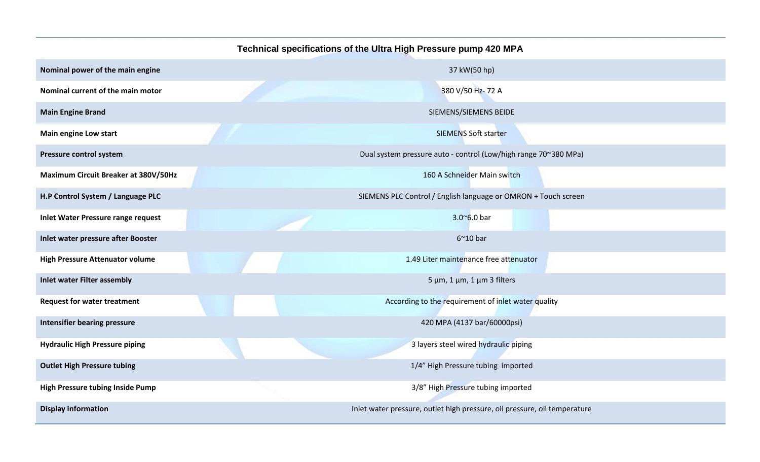|                                        | Technical specifications of the Ultra High Pressure pump 420 MPA          |  |  |  |  |  |  |
|----------------------------------------|---------------------------------------------------------------------------|--|--|--|--|--|--|
| Nominal power of the main engine       | 37 kW(50 hp)                                                              |  |  |  |  |  |  |
| Nominal current of the main motor      | 380 V/50 Hz-72 A                                                          |  |  |  |  |  |  |
| <b>Main Engine Brand</b>               | SIEMENS/SIEMENS BEIDE                                                     |  |  |  |  |  |  |
| <b>Main engine Low start</b>           | <b>SIEMENS Soft starter</b>                                               |  |  |  |  |  |  |
| Pressure control system                | Dual system pressure auto - control (Low/high range 70~380 MPa)           |  |  |  |  |  |  |
| Maximum Circuit Breaker at 380V/50Hz   | 160 A Schneider Main switch                                               |  |  |  |  |  |  |
| H.P Control System / Language PLC      | SIEMENS PLC Control / English language or OMRON + Touch screen            |  |  |  |  |  |  |
| Inlet Water Pressure range request     | $3.006.0$ bar                                                             |  |  |  |  |  |  |
| Inlet water pressure after Booster     | $6^{\sim}10$ bar                                                          |  |  |  |  |  |  |
| <b>High Pressure Attenuator volume</b> | 1.49 Liter maintenance free attenuator                                    |  |  |  |  |  |  |
| <b>Inlet water Filter assembly</b>     | $5 \mu m$ , 1 $\mu m$ , 1 $\mu m$ 3 filters                               |  |  |  |  |  |  |
| <b>Request for water treatment</b>     | According to the requirement of inlet water quality                       |  |  |  |  |  |  |
| <b>Intensifier bearing pressure</b>    | 420 MPA (4137 bar/60000psi)                                               |  |  |  |  |  |  |
| <b>Hydraulic High Pressure piping</b>  | 3 layers steel wired hydraulic piping                                     |  |  |  |  |  |  |
| <b>Outlet High Pressure tubing</b>     | 1/4" High Pressure tubing imported                                        |  |  |  |  |  |  |
| High Pressure tubing Inside Pump       | 3/8" High Pressure tubing imported                                        |  |  |  |  |  |  |
| <b>Display information</b>             | Inlet water pressure, outlet high pressure, oil pressure, oil temperature |  |  |  |  |  |  |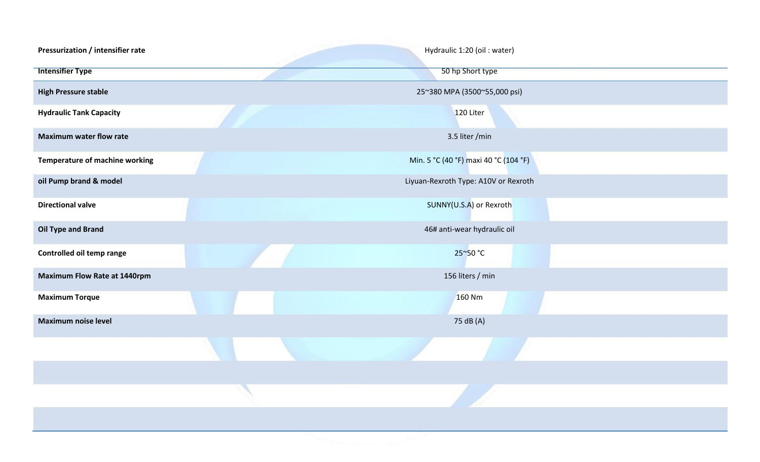| Pressurization / intensifier rate   | Hydraulic 1:20 (oil : water)          |
|-------------------------------------|---------------------------------------|
| <b>Intensifier Type</b>             | 50 hp Short type                      |
| <b>High Pressure stable</b>         | 25~380 MPA (3500~55,000 psi)          |
| <b>Hydraulic Tank Capacity</b>      | 120 Liter                             |
| <b>Maximum water flow rate</b>      | 3.5 liter /min                        |
| Temperature of machine working      | Min. 5 °C (40 °F) maxi 40 °C (104 °F) |
| oil Pump brand & model              | Liyuan-Rexroth Type: A10V or Rexroth  |
| <b>Directional valve</b>            | SUNNY(U.S.A) or Rexroth               |
| <b>Oil Type and Brand</b>           | 46# anti-wear hydraulic oil           |
| Controlled oil temp range           | 25~50 °C                              |
| <b>Maximum Flow Rate at 1440rpm</b> | 156 liters / min                      |
| <b>Maximum Torque</b>               | 160 Nm                                |
| <b>Maximum noise level</b>          | 75 dB (A)                             |
|                                     |                                       |
|                                     |                                       |
|                                     |                                       |
|                                     |                                       |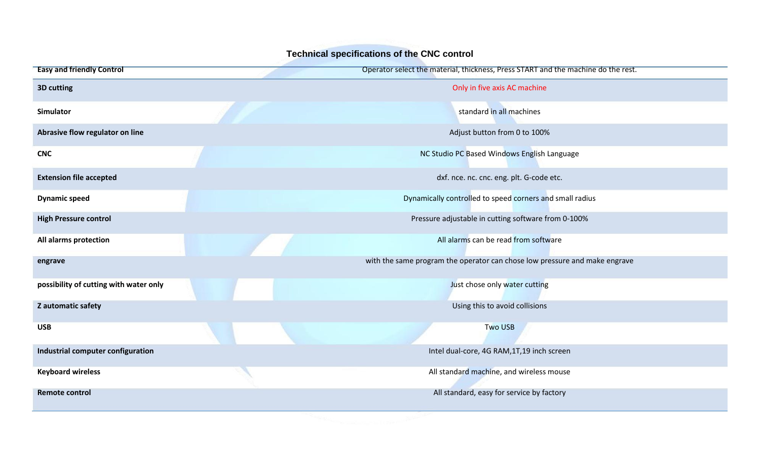| Technical specifications of the CNC control |                                                                                   |  |  |  |  |  |  |
|---------------------------------------------|-----------------------------------------------------------------------------------|--|--|--|--|--|--|
| <b>Easy and friendly Control</b>            | Operator select the material, thickness, Press START and the machine do the rest. |  |  |  |  |  |  |
| 3D cutting                                  | Only in five axis AC machine                                                      |  |  |  |  |  |  |
| <b>Simulator</b>                            | standard in all machines                                                          |  |  |  |  |  |  |
| Abrasive flow regulator on line             | Adjust button from 0 to 100%                                                      |  |  |  |  |  |  |
| <b>CNC</b>                                  | NC Studio PC Based Windows English Language                                       |  |  |  |  |  |  |
| <b>Extension file accepted</b>              | dxf. nce. nc. cnc. eng. plt. G-code etc.                                          |  |  |  |  |  |  |
| <b>Dynamic speed</b>                        | Dynamically controlled to speed corners and small radius                          |  |  |  |  |  |  |
| <b>High Pressure control</b>                | Pressure adjustable in cutting software from 0-100%                               |  |  |  |  |  |  |
| All alarms protection                       | All alarms can be read from software                                              |  |  |  |  |  |  |
| engrave                                     | with the same program the operator can chose low pressure and make engrave        |  |  |  |  |  |  |
| possibility of cutting with water only      | Just chose only water cutting                                                     |  |  |  |  |  |  |
| Z automatic safety                          | Using this to avoid collisions                                                    |  |  |  |  |  |  |
| <b>USB</b>                                  | <b>Two USB</b>                                                                    |  |  |  |  |  |  |
| Industrial computer configuration           | Intel dual-core, 4G RAM, 1T, 19 inch screen                                       |  |  |  |  |  |  |
| <b>Keyboard wireless</b>                    | All standard machine, and wireless mouse                                          |  |  |  |  |  |  |
| <b>Remote control</b>                       | All standard, easy for service by factory                                         |  |  |  |  |  |  |
|                                             |                                                                                   |  |  |  |  |  |  |

## **Technical specifications of the CNC control**